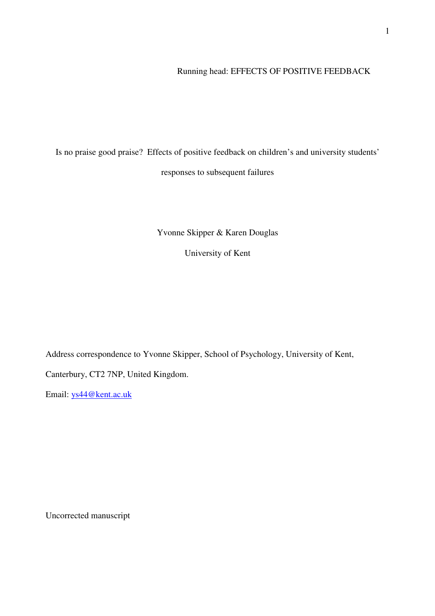# Running head: EFFECTS OF POSITIVE FEEDBACK

Is no praise good praise? Effects of positive feedback on children's and university students' responses to subsequent failures

Yvonne Skipper & Karen Douglas

University of Kent

Address correspondence to Yvonne Skipper, School of Psychology, University of Kent,

Canterbury, CT2 7NP, United Kingdom.

Email: ys44@kent.ac.uk

Uncorrected manuscript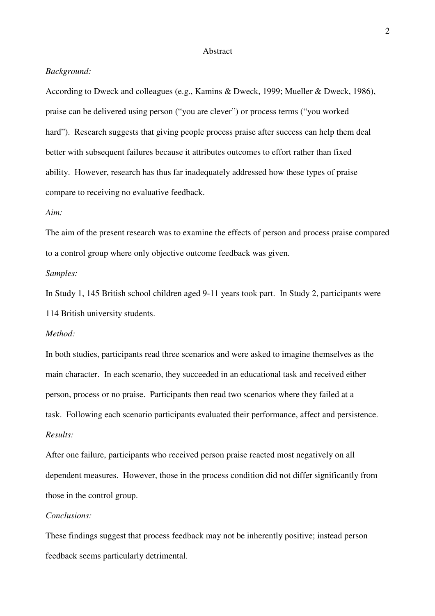#### Abstract

## *Background:*

According to Dweck and colleagues (e.g., Kamins & Dweck, 1999; Mueller & Dweck, 1986), praise can be delivered using person ("you are clever") or process terms ("you worked hard"). Research suggests that giving people process praise after success can help them deal better with subsequent failures because it attributes outcomes to effort rather than fixed ability. However, research has thus far inadequately addressed how these types of praise compare to receiving no evaluative feedback.

### *Aim:*

The aim of the present research was to examine the effects of person and process praise compared to a control group where only objective outcome feedback was given.

# *Samples:*

In Study 1, 145 British school children aged 9-11 years took part. In Study 2, participants were 114 British university students.

# *Method:*

In both studies, participants read three scenarios and were asked to imagine themselves as the main character. In each scenario, they succeeded in an educational task and received either person, process or no praise. Participants then read two scenarios where they failed at a task. Following each scenario participants evaluated their performance, affect and persistence. *Results:* 

After one failure, participants who received person praise reacted most negatively on all dependent measures. However, those in the process condition did not differ significantly from those in the control group.

# *Conclusions:*

These findings suggest that process feedback may not be inherently positive; instead person feedback seems particularly detrimental.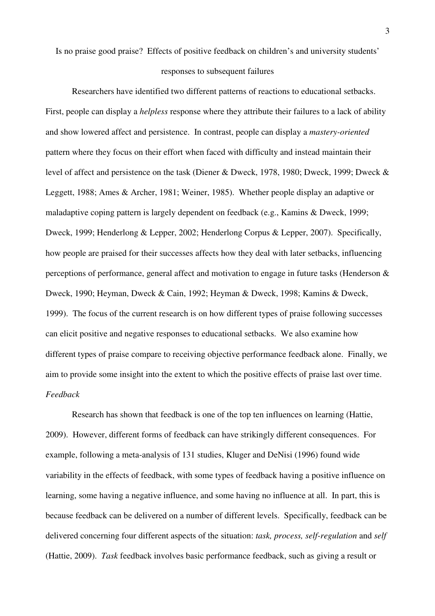Is no praise good praise? Effects of positive feedback on children's and university students'

#### responses to subsequent failures

Researchers have identified two different patterns of reactions to educational setbacks. First, people can display a *helpless* response where they attribute their failures to a lack of ability and show lowered affect and persistence. In contrast, people can display a *mastery-oriented* pattern where they focus on their effort when faced with difficulty and instead maintain their level of affect and persistence on the task (Diener & Dweck, 1978, 1980; Dweck, 1999; Dweck & Leggett, 1988; Ames & Archer, 1981; Weiner, 1985). Whether people display an adaptive or maladaptive coping pattern is largely dependent on feedback (e.g., Kamins & Dweck, 1999; Dweck, 1999; Henderlong & Lepper, 2002; Henderlong Corpus & Lepper, 2007). Specifically, how people are praised for their successes affects how they deal with later setbacks, influencing perceptions of performance, general affect and motivation to engage in future tasks (Henderson & Dweck, 1990; Heyman, Dweck & Cain, 1992; Heyman & Dweck, 1998; Kamins & Dweck, 1999). The focus of the current research is on how different types of praise following successes can elicit positive and negative responses to educational setbacks. We also examine how different types of praise compare to receiving objective performance feedback alone. Finally, we aim to provide some insight into the extent to which the positive effects of praise last over time. *Feedback* 

Research has shown that feedback is one of the top ten influences on learning (Hattie, 2009). However, different forms of feedback can have strikingly different consequences. For example, following a meta-analysis of 131 studies, Kluger and DeNisi (1996) found wide variability in the effects of feedback, with some types of feedback having a positive influence on learning, some having a negative influence, and some having no influence at all. In part, this is because feedback can be delivered on a number of different levels. Specifically, feedback can be delivered concerning four different aspects of the situation: *task, process, self-regulation* and *self* (Hattie, 2009). *Task* feedback involves basic performance feedback, such as giving a result or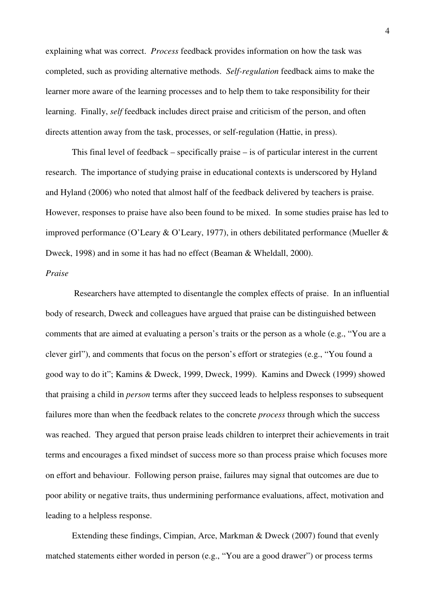explaining what was correct. *Process* feedback provides information on how the task was completed, such as providing alternative methods. *Self-regulation* feedback aims to make the learner more aware of the learning processes and to help them to take responsibility for their learning. Finally, *self* feedback includes direct praise and criticism of the person, and often directs attention away from the task, processes, or self-regulation (Hattie, in press).

This final level of feedback – specifically praise – is of particular interest in the current research. The importance of studying praise in educational contexts is underscored by Hyland and Hyland (2006) who noted that almost half of the feedback delivered by teachers is praise. However, responses to praise have also been found to be mixed. In some studies praise has led to improved performance (O'Leary & O'Leary, 1977), in others debilitated performance (Mueller & Dweck, 1998) and in some it has had no effect (Beaman & Wheldall, 2000).

## *Praise*

 Researchers have attempted to disentangle the complex effects of praise. In an influential body of research, Dweck and colleagues have argued that praise can be distinguished between comments that are aimed at evaluating a person's traits or the person as a whole (e.g., "You are a clever girl"), and comments that focus on the person's effort or strategies (e.g., "You found a good way to do it"; Kamins & Dweck, 1999, Dweck, 1999). Kamins and Dweck (1999) showed that praising a child in *person* terms after they succeed leads to helpless responses to subsequent failures more than when the feedback relates to the concrete *process* through which the success was reached. They argued that person praise leads children to interpret their achievements in trait terms and encourages a fixed mindset of success more so than process praise which focuses more on effort and behaviour. Following person praise, failures may signal that outcomes are due to poor ability or negative traits, thus undermining performance evaluations, affect, motivation and leading to a helpless response.

Extending these findings, Cimpian, Arce, Markman & Dweck (2007) found that evenly matched statements either worded in person (e.g., "You are a good drawer") or process terms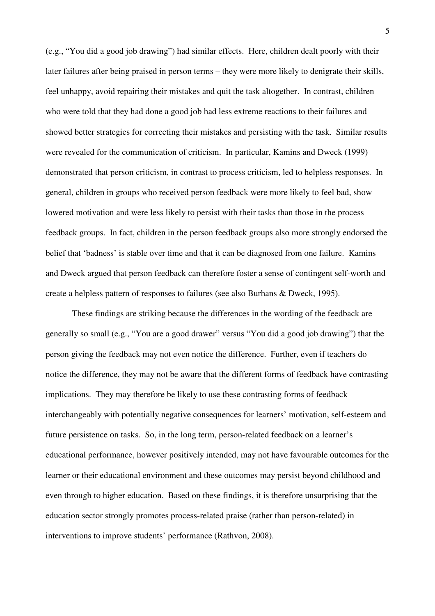(e.g., "You did a good job drawing") had similar effects. Here, children dealt poorly with their later failures after being praised in person terms – they were more likely to denigrate their skills, feel unhappy, avoid repairing their mistakes and quit the task altogether. In contrast, children who were told that they had done a good job had less extreme reactions to their failures and showed better strategies for correcting their mistakes and persisting with the task. Similar results were revealed for the communication of criticism. In particular, Kamins and Dweck (1999) demonstrated that person criticism, in contrast to process criticism, led to helpless responses. In general, children in groups who received person feedback were more likely to feel bad, show lowered motivation and were less likely to persist with their tasks than those in the process feedback groups. In fact, children in the person feedback groups also more strongly endorsed the belief that 'badness' is stable over time and that it can be diagnosed from one failure. Kamins and Dweck argued that person feedback can therefore foster a sense of contingent self-worth and create a helpless pattern of responses to failures (see also Burhans & Dweck, 1995).

These findings are striking because the differences in the wording of the feedback are generally so small (e.g., "You are a good drawer" versus "You did a good job drawing") that the person giving the feedback may not even notice the difference. Further, even if teachers do notice the difference, they may not be aware that the different forms of feedback have contrasting implications. They may therefore be likely to use these contrasting forms of feedback interchangeably with potentially negative consequences for learners' motivation, self-esteem and future persistence on tasks. So, in the long term, person-related feedback on a learner's educational performance, however positively intended, may not have favourable outcomes for the learner or their educational environment and these outcomes may persist beyond childhood and even through to higher education. Based on these findings, it is therefore unsurprising that the education sector strongly promotes process-related praise (rather than person-related) in interventions to improve students' performance (Rathvon, 2008).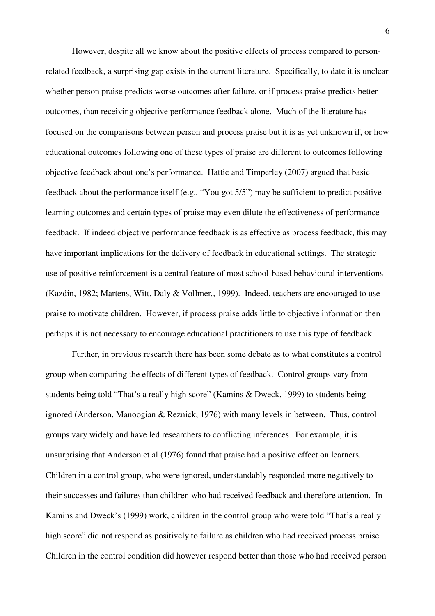However, despite all we know about the positive effects of process compared to personrelated feedback, a surprising gap exists in the current literature. Specifically, to date it is unclear whether person praise predicts worse outcomes after failure, or if process praise predicts better outcomes, than receiving objective performance feedback alone. Much of the literature has focused on the comparisons between person and process praise but it is as yet unknown if, or how educational outcomes following one of these types of praise are different to outcomes following objective feedback about one's performance. Hattie and Timperley (2007) argued that basic feedback about the performance itself (e.g., "You got 5/5") may be sufficient to predict positive learning outcomes and certain types of praise may even dilute the effectiveness of performance feedback. If indeed objective performance feedback is as effective as process feedback, this may have important implications for the delivery of feedback in educational settings. The strategic use of positive reinforcement is a central feature of most school-based behavioural interventions (Kazdin, 1982; Martens, Witt, Daly & Vollmer*.*, 1999). Indeed, teachers are encouraged to use praise to motivate children. However, if process praise adds little to objective information then perhaps it is not necessary to encourage educational practitioners to use this type of feedback.

Further, in previous research there has been some debate as to what constitutes a control group when comparing the effects of different types of feedback. Control groups vary from students being told "That's a really high score" (Kamins & Dweck, 1999) to students being ignored (Anderson, Manoogian & Reznick, 1976) with many levels in between. Thus, control groups vary widely and have led researchers to conflicting inferences. For example, it is unsurprising that Anderson et al (1976) found that praise had a positive effect on learners. Children in a control group, who were ignored, understandably responded more negatively to their successes and failures than children who had received feedback and therefore attention. In Kamins and Dweck's (1999) work, children in the control group who were told "That's a really high score" did not respond as positively to failure as children who had received process praise. Children in the control condition did however respond better than those who had received person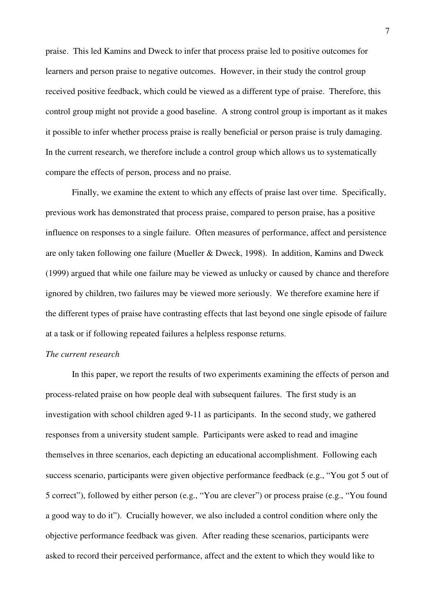praise. This led Kamins and Dweck to infer that process praise led to positive outcomes for learners and person praise to negative outcomes. However, in their study the control group received positive feedback, which could be viewed as a different type of praise. Therefore, this control group might not provide a good baseline. A strong control group is important as it makes it possible to infer whether process praise is really beneficial or person praise is truly damaging. In the current research, we therefore include a control group which allows us to systematically compare the effects of person, process and no praise.

Finally, we examine the extent to which any effects of praise last over time. Specifically, previous work has demonstrated that process praise, compared to person praise, has a positive influence on responses to a single failure. Often measures of performance, affect and persistence are only taken following one failure (Mueller & Dweck, 1998). In addition, Kamins and Dweck (1999) argued that while one failure may be viewed as unlucky or caused by chance and therefore ignored by children, two failures may be viewed more seriously. We therefore examine here if the different types of praise have contrasting effects that last beyond one single episode of failure at a task or if following repeated failures a helpless response returns.

# *The current research*

In this paper, we report the results of two experiments examining the effects of person and process-related praise on how people deal with subsequent failures. The first study is an investigation with school children aged 9-11 as participants. In the second study, we gathered responses from a university student sample. Participants were asked to read and imagine themselves in three scenarios, each depicting an educational accomplishment. Following each success scenario, participants were given objective performance feedback (e.g., "You got 5 out of 5 correct"), followed by either person (e.g., "You are clever") or process praise (e.g., "You found a good way to do it"). Crucially however, we also included a control condition where only the objective performance feedback was given. After reading these scenarios, participants were asked to record their perceived performance, affect and the extent to which they would like to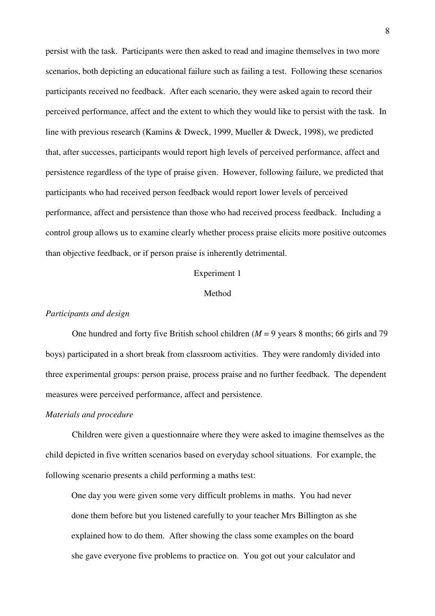persist with the task. Participants were then asked to read and imagine themselves in two more scenarios, both depicting an educational failure such as failing a test. Following these scenarios participants received no feedback. After each scenario, they were asked again to record their perceived performance, affect and the extent to which they would like to persist with the task. In line with previous research (Kamins & Dweck, 1999, Mueller & Dweck, 1998), we predicted that, after successes, participants would report high levels of perceived performance, affect and persistence regardless of the type of praise given. However, following failure, we predicted that participants who had received person feedback would report lower levels of perceived performance, affect and persistence than those who had received process feedback. Including a control group allows us to examine clearly whether process praise elicits more positive outcomes than objective feedback, or if person praise is inherently detrimental.

### Experiment 1

# Method

#### *Participants and design*

One hundred and forty five British school children (*M* = 9 years 8 months; 66 girls and 79 boys) participated in a short break from classroom activities. They were randomly divided into three experimental groups: person praise, process praise and no further feedback. The dependent measures were perceived performance, affect and persistence.

# *Materials and procedure*

Children were given a questionnaire where they were asked to imagine themselves as the child depicted in five written scenarios based on everyday school situations. For example, the following scenario presents a child performing a maths test:

One day you were given some very difficult problems in maths. You had never done them before but you listened carefully to your teacher Mrs Billington as she explained how to do them. After showing the class some examples on the board she gave everyone five problems to practice on. You got out your calculator and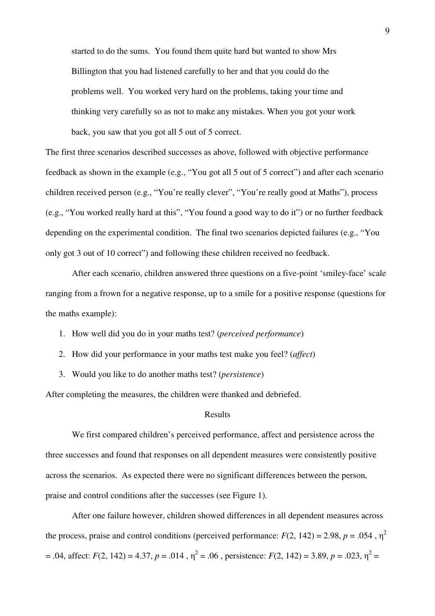started to do the sums. You found them quite hard but wanted to show Mrs Billington that you had listened carefully to her and that you could do the problems well. You worked very hard on the problems, taking your time and thinking very carefully so as not to make any mistakes. When you got your work back, you saw that you got all 5 out of 5 correct.

The first three scenarios described successes as above, followed with objective performance feedback as shown in the example (e.g., "You got all 5 out of 5 correct") and after each scenario children received person (e.g., "You're really clever", "You're really good at Maths"), process (e.g., "You worked really hard at this", "You found a good way to do it") or no further feedback depending on the experimental condition. The final two scenarios depicted failures (e.g., "You only got 3 out of 10 correct") and following these children received no feedback.

After each scenario, children answered three questions on a five-point 'smiley-face' scale ranging from a frown for a negative response, up to a smile for a positive response (questions for the maths example):

1. How well did you do in your maths test? (*perceived performance*)

- 2. How did your performance in your maths test make you feel? (*affect*)
- 3. Would you like to do another maths test? (*persistence*)

After completing the measures, the children were thanked and debriefed.

#### Results

We first compared children's perceived performance, affect and persistence across the three successes and found that responses on all dependent measures were consistently positive across the scenarios. As expected there were no significant differences between the person, praise and control conditions after the successes (see Figure 1).

After one failure however, children showed differences in all dependent measures across the process, praise and control conditions (perceived performance:  $F(2, 142) = 2.98$ ,  $p = .054$ ,  $\eta^2$  $= .04$ , affect: *F*(2, 142) = 4.37, *p* = .014,  $\eta^2 = .06$ , persistence: *F*(2, 142) = 3.89, *p* = .023,  $\eta^2 =$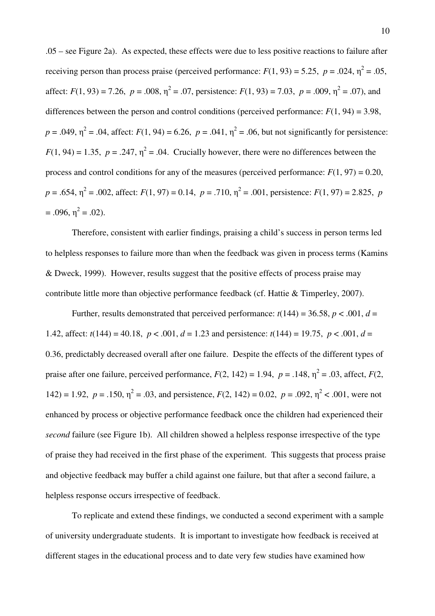.05 – see Figure 2a). As expected, these effects were due to less positive reactions to failure after receiving person than process praise (perceived performance:  $F(1, 93) = 5.25$ ,  $p = .024$ ,  $\eta^2 = .05$ , affect:  $F(1, 93) = 7.26$ ,  $p = .008$ ,  $\eta^2 = .07$ , persistence:  $F(1, 93) = 7.03$ ,  $p = .009$ ,  $\eta^2 = .07$ ), and differences between the person and control conditions (perceived performance:  $F(1, 94) = 3.98$ ,  $p = .049$ ,  $\eta^2 = .04$ , affect:  $F(1, 94) = 6.26$ ,  $p = .041$ ,  $\eta^2 = .06$ , but not significantly for persistence:  $F(1, 94) = 1.35$ ,  $p = .247$ ,  $\eta^2 = .04$ . Crucially however, there were no differences between the process and control conditions for any of the measures (perceived performance:  $F(1, 97) = 0.20$ ,  $p = .654$ ,  $\eta^2 = .002$ , affect:  $F(1, 97) = 0.14$ ,  $p = .710$ ,  $\eta^2 = .001$ , persistence:  $F(1, 97) = 2.825$ ,  $p$  $= .096, \eta^2 = .02$ ).

Therefore, consistent with earlier findings, praising a child's success in person terms led to helpless responses to failure more than when the feedback was given in process terms (Kamins & Dweck, 1999). However, results suggest that the positive effects of process praise may contribute little more than objective performance feedback (cf. Hattie & Timperley, 2007).

Further, results demonstrated that perceived performance:  $t(144) = 36.58$ ,  $p < .001$ ,  $d =$ 1.42, affect:  $t(144) = 40.18$ ,  $p < .001$ ,  $d = 1.23$  and persistence:  $t(144) = 19.75$ ,  $p < .001$ ,  $d =$ 0.36, predictably decreased overall after one failure. Despite the effects of the different types of praise after one failure, perceived performance,  $F(2, 142) = 1.94$ ,  $p = .148$ ,  $\eta^2 = .03$ , affect,  $F(2, 142) = 1.94$ 142) = 1.92,  $p = .150$ ,  $\eta^2 = .03$ , and persistence,  $F(2, 142) = 0.02$ ,  $p = .092$ ,  $\eta^2 < .001$ , were not enhanced by process or objective performance feedback once the children had experienced their *second* failure (see Figure 1b). All children showed a helpless response irrespective of the type of praise they had received in the first phase of the experiment. This suggests that process praise and objective feedback may buffer a child against one failure, but that after a second failure, a helpless response occurs irrespective of feedback.

To replicate and extend these findings, we conducted a second experiment with a sample of university undergraduate students. It is important to investigate how feedback is received at different stages in the educational process and to date very few studies have examined how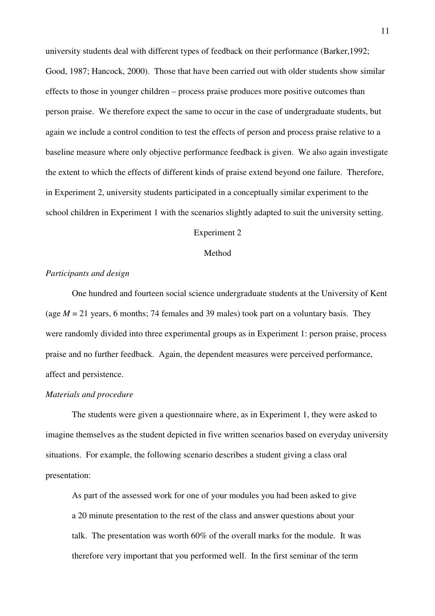university students deal with different types of feedback on their performance (Barker,1992; Good, 1987; Hancock, 2000). Those that have been carried out with older students show similar effects to those in younger children – process praise produces more positive outcomes than person praise. We therefore expect the same to occur in the case of undergraduate students, but again we include a control condition to test the effects of person and process praise relative to a baseline measure where only objective performance feedback is given. We also again investigate the extent to which the effects of different kinds of praise extend beyond one failure. Therefore, in Experiment 2, university students participated in a conceptually similar experiment to the school children in Experiment 1 with the scenarios slightly adapted to suit the university setting.

#### Experiment 2

# Method

## *Participants and design*

One hundred and fourteen social science undergraduate students at the University of Kent (age  $M = 21$  years, 6 months; 74 females and 39 males) took part on a voluntary basis. They were randomly divided into three experimental groups as in Experiment 1: person praise, process praise and no further feedback. Again, the dependent measures were perceived performance, affect and persistence.

#### *Materials and procedure*

The students were given a questionnaire where, as in Experiment 1, they were asked to imagine themselves as the student depicted in five written scenarios based on everyday university situations. For example, the following scenario describes a student giving a class oral presentation:

As part of the assessed work for one of your modules you had been asked to give a 20 minute presentation to the rest of the class and answer questions about your talk. The presentation was worth 60% of the overall marks for the module. It was therefore very important that you performed well. In the first seminar of the term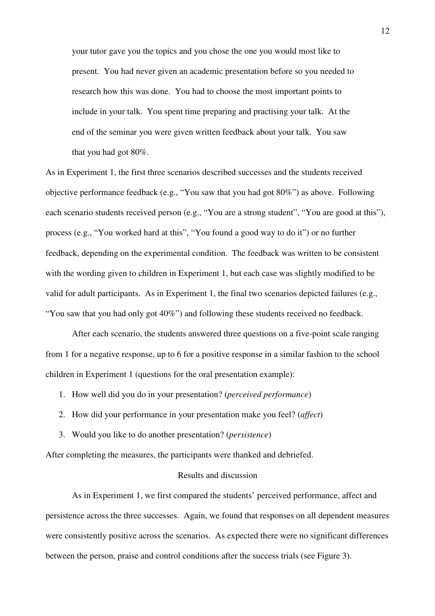your tutor gave you the topics and you chose the one you would most like to present. You had never given an academic presentation before so you needed to research how this was done. You had to choose the most important points to include in your talk. You spent time preparing and practising your talk. At the end of the seminar you were given written feedback about your talk. You saw that you had got 80%.

As in Experiment 1, the first three scenarios described successes and the students received objective performance feedback (e.g., "You saw that you had got 80%") as above. Following each scenario students received person (e.g., "You are a strong student", "You are good at this"), process (e.g., "You worked hard at this", "You found a good way to do it") or no further feedback, depending on the experimental condition. The feedback was written to be consistent with the wording given to children in Experiment 1, but each case was slightly modified to be valid for adult participants. As in Experiment 1, the final two scenarios depicted failures (e.g., "You saw that you had only got 40%") and following these students received no feedback.

After each scenario, the students answered three questions on a five-point scale ranging from 1 for a negative response, up to 6 for a positive response in a similar fashion to the school children in Experiment 1 (questions for the oral presentation example):

1. How well did you do in your presentation? (*perceived performance*)

- 2. How did your performance in your presentation make you feel? (*affect*)
- 3. Would you like to do another presentation? (*persistence*)

After completing the measures, the participants were thanked and debriefed.

## Results and discussion

As in Experiment 1, we first compared the students' perceived performance, affect and persistence across the three successes. Again, we found that responses on all dependent measures were consistently positive across the scenarios. As expected there were no significant differences between the person, praise and control conditions after the success trials (see Figure 3).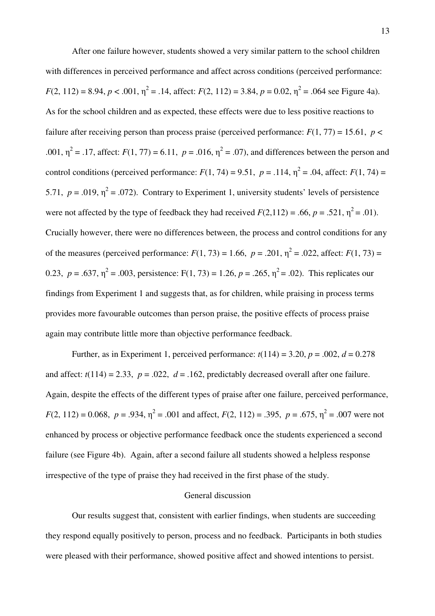After one failure however, students showed a very similar pattern to the school children with differences in perceived performance and affect across conditions (perceived performance:  $F(2, 112) = 8.94, p < .001, \eta^2 = .14, \text{ affect: } F(2, 112) = 3.84, p = 0.02, \eta^2 = .064 \text{ see Figure 4a}.$ As for the school children and as expected, these effects were due to less positive reactions to failure after receiving person than process praise (perceived performance:  $F(1, 77) = 15.61$ ,  $p <$ .001,  $\eta^2 = .17$ , affect:  $F(1, 77) = 6.11$ ,  $p = .016$ ,  $\eta^2 = .07$ ), and differences between the person and control conditions (perceived performance:  $F(1, 74) = 9.51$ ,  $p = .114$ ,  $\eta^2 = .04$ , affect:  $F(1, 74) =$ 5.71,  $p = .019$ ,  $\eta^2 = .072$ ). Contrary to Experiment 1, university students' levels of persistence were not affected by the type of feedback they had received  $F(2,112) = .66$ ,  $p = .521$ ,  $\eta^2 = .01$ ). Crucially however, there were no differences between, the process and control conditions for any of the measures (perceived performance:  $F(1, 73) = 1.66$ ,  $p = .201$ ,  $\eta^2 = .022$ , affect:  $F(1, 73) =$ 0.23,  $p = .637$ ,  $\eta^2 = .003$ , persistence: F(1, 73) = 1.26,  $p = .265$ ,  $\eta^2 = .02$ ). This replicates our findings from Experiment 1 and suggests that, as for children, while praising in process terms provides more favourable outcomes than person praise, the positive effects of process praise again may contribute little more than objective performance feedback.

Further, as in Experiment 1, perceived performance:  $t(114) = 3.20$ ,  $p = .002$ ,  $d = 0.278$ and affect:  $t(114) = 2.33$ ,  $p = .022$ ,  $d = .162$ , predictably decreased overall after one failure. Again, despite the effects of the different types of praise after one failure, perceived performance,  $F(2, 112) = 0.068$ ,  $p = .934$ ,  $\eta^2 = .001$  and affect,  $F(2, 112) = .395$ ,  $p = .675$ ,  $\eta^2 = .007$  were not enhanced by process or objective performance feedback once the students experienced a second failure (see Figure 4b). Again, after a second failure all students showed a helpless response irrespective of the type of praise they had received in the first phase of the study.

### General discussion

Our results suggest that, consistent with earlier findings, when students are succeeding they respond equally positively to person, process and no feedback. Participants in both studies were pleased with their performance, showed positive affect and showed intentions to persist.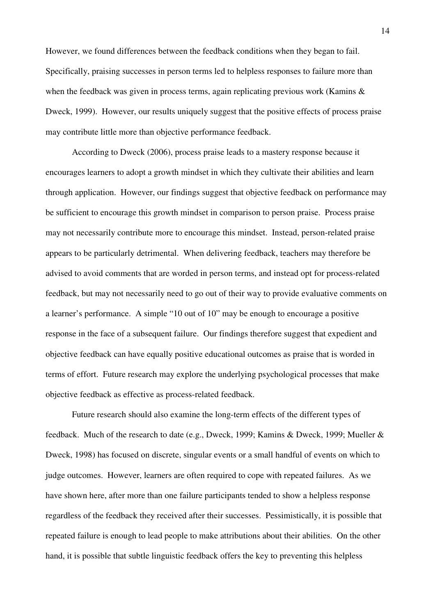However, we found differences between the feedback conditions when they began to fail. Specifically, praising successes in person terms led to helpless responses to failure more than when the feedback was given in process terms, again replicating previous work (Kamins & Dweck, 1999). However, our results uniquely suggest that the positive effects of process praise may contribute little more than objective performance feedback.

According to Dweck (2006), process praise leads to a mastery response because it encourages learners to adopt a growth mindset in which they cultivate their abilities and learn through application. However, our findings suggest that objective feedback on performance may be sufficient to encourage this growth mindset in comparison to person praise. Process praise may not necessarily contribute more to encourage this mindset. Instead, person-related praise appears to be particularly detrimental. When delivering feedback, teachers may therefore be advised to avoid comments that are worded in person terms, and instead opt for process-related feedback, but may not necessarily need to go out of their way to provide evaluative comments on a learner's performance. A simple "10 out of 10" may be enough to encourage a positive response in the face of a subsequent failure. Our findings therefore suggest that expedient and objective feedback can have equally positive educational outcomes as praise that is worded in terms of effort. Future research may explore the underlying psychological processes that make objective feedback as effective as process-related feedback.

Future research should also examine the long-term effects of the different types of feedback. Much of the research to date (e.g., Dweck, 1999; Kamins & Dweck, 1999; Mueller & Dweck, 1998) has focused on discrete, singular events or a small handful of events on which to judge outcomes. However, learners are often required to cope with repeated failures. As we have shown here, after more than one failure participants tended to show a helpless response regardless of the feedback they received after their successes. Pessimistically, it is possible that repeated failure is enough to lead people to make attributions about their abilities. On the other hand, it is possible that subtle linguistic feedback offers the key to preventing this helpless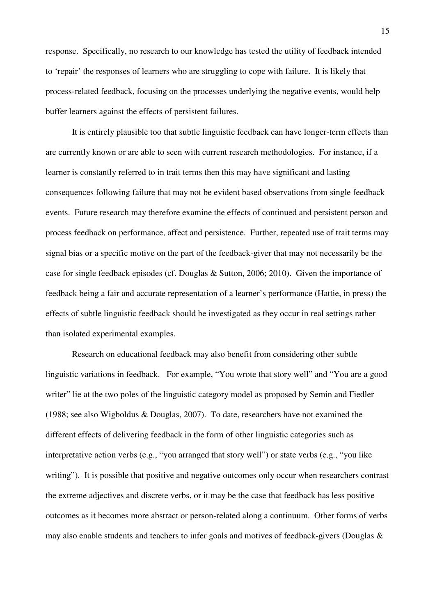response. Specifically, no research to our knowledge has tested the utility of feedback intended to 'repair' the responses of learners who are struggling to cope with failure. It is likely that process-related feedback, focusing on the processes underlying the negative events, would help buffer learners against the effects of persistent failures.

It is entirely plausible too that subtle linguistic feedback can have longer-term effects than are currently known or are able to seen with current research methodologies. For instance, if a learner is constantly referred to in trait terms then this may have significant and lasting consequences following failure that may not be evident based observations from single feedback events. Future research may therefore examine the effects of continued and persistent person and process feedback on performance, affect and persistence. Further, repeated use of trait terms may signal bias or a specific motive on the part of the feedback-giver that may not necessarily be the case for single feedback episodes (cf. Douglas & Sutton, 2006; 2010). Given the importance of feedback being a fair and accurate representation of a learner's performance (Hattie, in press) the effects of subtle linguistic feedback should be investigated as they occur in real settings rather than isolated experimental examples.

Research on educational feedback may also benefit from considering other subtle linguistic variations in feedback. For example, "You wrote that story well" and "You are a good writer" lie at the two poles of the linguistic category model as proposed by Semin and Fiedler (1988; see also Wigboldus & Douglas, 2007). To date, researchers have not examined the different effects of delivering feedback in the form of other linguistic categories such as interpretative action verbs (e.g., "you arranged that story well") or state verbs (e.g., "you like writing"). It is possible that positive and negative outcomes only occur when researchers contrast the extreme adjectives and discrete verbs, or it may be the case that feedback has less positive outcomes as it becomes more abstract or person-related along a continuum. Other forms of verbs may also enable students and teachers to infer goals and motives of feedback-givers (Douglas &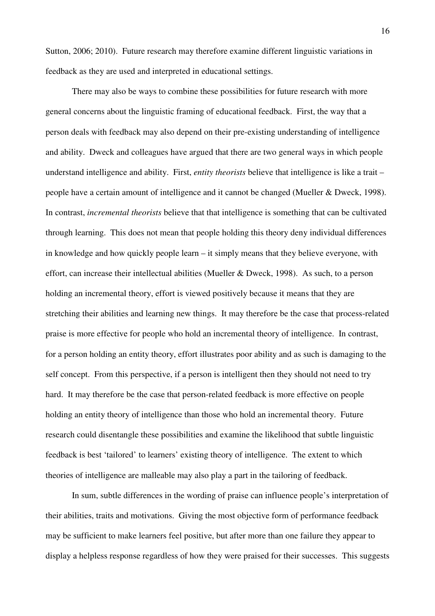Sutton, 2006; 2010). Future research may therefore examine different linguistic variations in feedback as they are used and interpreted in educational settings.

There may also be ways to combine these possibilities for future research with more general concerns about the linguistic framing of educational feedback. First, the way that a person deals with feedback may also depend on their pre-existing understanding of intelligence and ability. Dweck and colleagues have argued that there are two general ways in which people understand intelligence and ability. First, *entity theorists* believe that intelligence is like a trait – people have a certain amount of intelligence and it cannot be changed (Mueller & Dweck, 1998). In contrast, *incremental theorists* believe that that intelligence is something that can be cultivated through learning. This does not mean that people holding this theory deny individual differences in knowledge and how quickly people learn – it simply means that they believe everyone, with effort, can increase their intellectual abilities (Mueller & Dweck, 1998). As such, to a person holding an incremental theory, effort is viewed positively because it means that they are stretching their abilities and learning new things. It may therefore be the case that process-related praise is more effective for people who hold an incremental theory of intelligence. In contrast, for a person holding an entity theory, effort illustrates poor ability and as such is damaging to the self concept. From this perspective, if a person is intelligent then they should not need to try hard. It may therefore be the case that person-related feedback is more effective on people holding an entity theory of intelligence than those who hold an incremental theory. Future research could disentangle these possibilities and examine the likelihood that subtle linguistic feedback is best 'tailored' to learners' existing theory of intelligence. The extent to which theories of intelligence are malleable may also play a part in the tailoring of feedback.

In sum, subtle differences in the wording of praise can influence people's interpretation of their abilities, traits and motivations. Giving the most objective form of performance feedback may be sufficient to make learners feel positive, but after more than one failure they appear to display a helpless response regardless of how they were praised for their successes. This suggests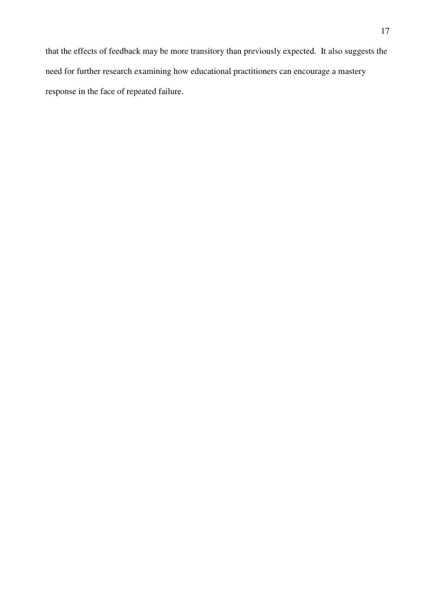that the effects of feedback may be more transitory than previously expected. It also suggests the need for further research examining how educational practitioners can encourage a mastery response in the face of repeated failure.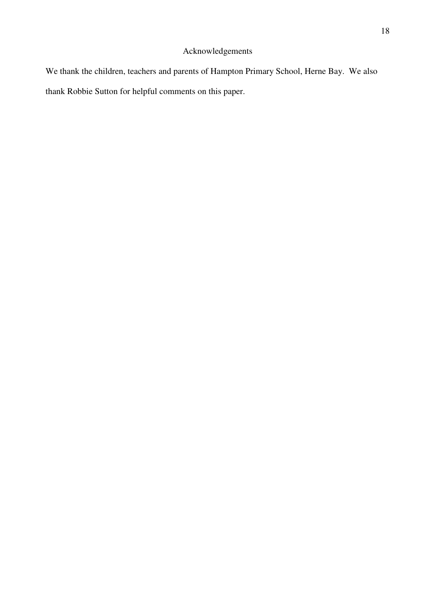# Acknowledgements

We thank the children, teachers and parents of Hampton Primary School, Herne Bay. We also thank Robbie Sutton for helpful comments on this paper.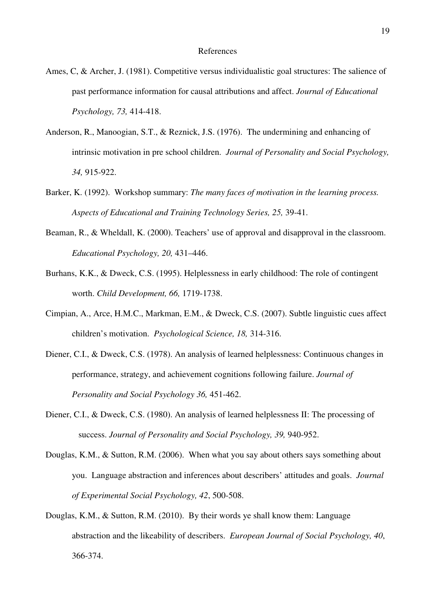- Ames, C, & Archer, J. (1981). Competitive versus individualistic goal structures: The salience of past performance information for causal attributions and affect. *Journal of Educational Psychology, 73,* 414-418.
- Anderson, R., Manoogian, S.T., & Reznick, J.S. (1976). The undermining and enhancing of intrinsic motivation in pre school children. *Journal of Personality and Social Psychology, 34,* 915-922.
- Barker, K. (1992). Workshop summary: *The many faces of motivation in the learning process. Aspects of Educational and Training Technology Series, 25,* 39-41.
- Beaman, R., & Wheldall, K. (2000). Teachers' use of approval and disapproval in the classroom. *Educational Psychology, 20,* 431–446.
- Burhans, K.K., & Dweck, C.S. (1995). Helplessness in early childhood: The role of contingent worth. *Child Development, 66,* 1719-1738.
- Cimpian, A., Arce, H.M.C., Markman, E.M., & Dweck, C.S. (2007). Subtle linguistic cues affect children's motivation. *Psychological Science, 18,* 314-316.
- Diener, C.I., & Dweck, C.S. (1978). An analysis of learned helplessness: Continuous changes in performance, strategy, and achievement cognitions following failure. *Journal of Personality and Social Psychology 36,* 451-462.
- Diener, C.I., & Dweck, C.S. (1980). An analysis of learned helplessness II: The processing of success. *Journal of Personality and Social Psychology, 39,* 940-952.
- Douglas, K.M., & Sutton, R.M. (2006). When what you say about others says something about you. Language abstraction and inferences about describers' attitudes and goals. *Journal of Experimental Social Psychology, 42*, 500-508.
- Douglas, K.M., & Sutton, R.M. (2010). By their words ye shall know them: Language abstraction and the likeability of describers. *European Journal of Social Psychology, 40*, 366-374.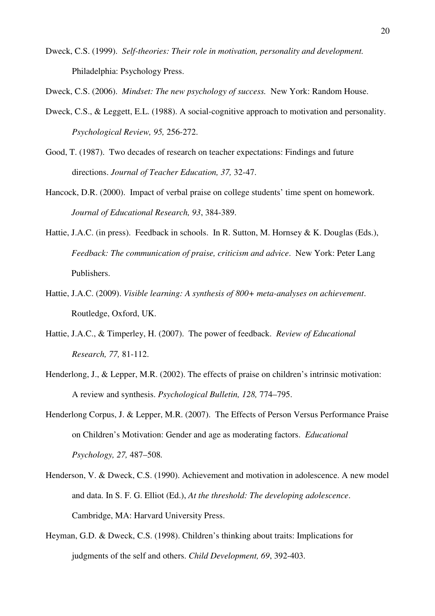Dweck, C.S. (1999). *Self-theories: Their role in motivation, personality and development.*  Philadelphia: Psychology Press.

Dweck, C.S. (2006). *Mindset: The new psychology of success.* New York: Random House.

- Dweck, C.S., & Leggett, E.L. (1988). A social-cognitive approach to motivation and personality. *Psychological Review, 95,* 256-272.
- Good, T. (1987). Two decades of research on teacher expectations: Findings and future directions. *Journal of Teacher Education, 37,* 32-47.
- Hancock, D.R. (2000). Impact of verbal praise on college students' time spent on homework. *Journal of Educational Research, 93*, 384-389.
- Hattie, J.A.C. (in press). Feedback in schools. In R. Sutton, M. Hornsey & K. Douglas (Eds.), *Feedback: The communication of praise, criticism and advice*. New York: Peter Lang Publishers.
- Hattie, J.A.C. (2009). *Visible learning: A synthesis of 800+ meta-analyses on achievement*. Routledge, Oxford, UK.
- Hattie, J.A.C., & Timperley, H. (2007). The power of feedback. *Review of Educational Research, 77,* 81-112.
- Henderlong, J., & Lepper, M.R. (2002). The effects of praise on children's intrinsic motivation: A review and synthesis. *Psychological Bulletin, 128,* 774–795.
- Henderlong Corpus, J. & Lepper, M.R. (2007). The Effects of Person Versus Performance Praise on Children's Motivation: Gender and age as moderating factors.*Educational Psychology, 27,* 487–508*.*
- Henderson, V. & Dweck, C.S. (1990). Achievement and motivation in adolescence. A new model and data. In S. F. G. Elliot (Ed.), *At the threshold: The developing adolescence*. Cambridge, MA: Harvard University Press.
- Heyman, G.D. & Dweck, C.S. (1998). Children's thinking about traits: Implications for judgments of the self and others. *Child Development, 69*, 392-403.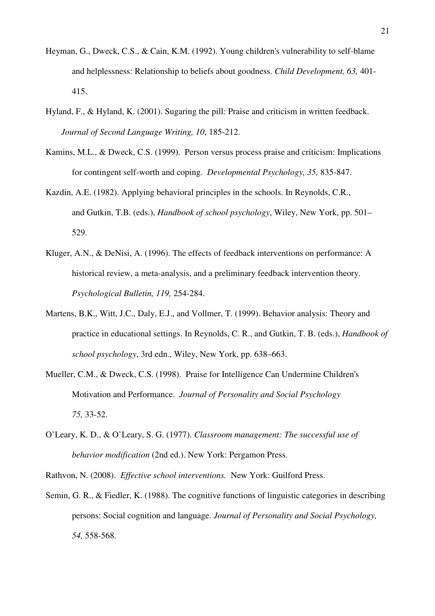- Heyman, G., Dweck, C.S., & Cain, K.M. (1992). Young children's vulnerability to self-blame and helplessness: Relationship to beliefs about goodness. *Child Development, 63,* 401- 415.
- Hyland, F., & Hyland, K. (2001). Sugaring the pill: Praise and criticism in written feedback. *Journal of Second Language Writing, 10*, 185-212.
- Kamins, M.L., & Dweck, C.S. (1999). Person versus process praise and criticism: Implications for contingent self-worth and coping. *Developmental Psychology, 35,* 835-847.
- Kazdin, A.E. (1982). Applying behavioral principles in the schools. In Reynolds, C.R., and Gutkin, T.B. (eds.), *Handbook of school psychology*, Wiley, New York, pp. 501– 529.
- Kluger, A.N., & DeNisi, A. (1996). The effects of feedback interventions on performance: A historical review, a meta-analysis, and a preliminary feedback intervention theory. *Psychological Bulletin, 119,* 254-284.
- Martens, B.K., Witt, J.C., Daly, E.J., and Vollmer, T. (1999). Behavior analysis: Theory and practice in educational settings. In Reynolds, C. R., and Gutkin, T. B. (eds.), *Handbook of school psychology*, 3rd edn., Wiley, New York, pp. 638–663.
- Mueller, C.M., & Dweck, C.S. (1998). Praise for Intelligence Can Undermine Children's Motivation and Performance. *Journal of Personality and Social Psychology 75,* 33-52.
- O'Leary, K. D., & O'Leary, S. G. (1977). *Classroom management: The successful use of behavior modification* (2nd ed.). New York: Pergamon Press.

Rathvon, N. (2008). *Effective school interventions.* New York: Guilford Press.

Semin, G. R., & Fiedler, K. (1988). The cognitive functions of linguistic categories in describing persons: Social cognition and language. *Journal of Personality and Social Psychology, 54,* 558-568.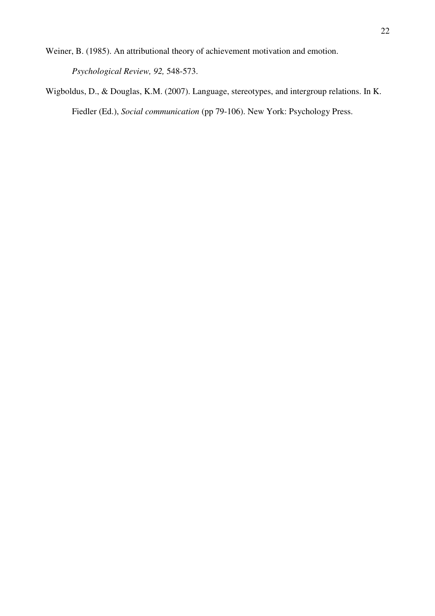Weiner, B. (1985). An attributional theory of achievement motivation and emotion.

*Psychological Review, 92,* 548-573.

Wigboldus, D., & Douglas, K.M. (2007). Language, stereotypes, and intergroup relations. In K. Fiedler (Ed.), *Social communication* (pp 79-106). New York: Psychology Press.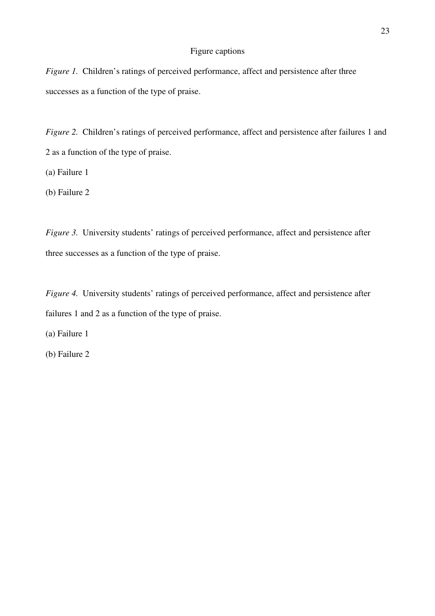# Figure captions

*Figure 1.* Children's ratings of perceived performance, affect and persistence after three successes as a function of the type of praise.

*Figure 2.* Children's ratings of perceived performance, affect and persistence after failures 1 and 2 as a function of the type of praise.

(a) Failure 1

(b) Failure 2

*Figure 3.* University students' ratings of perceived performance, affect and persistence after three successes as a function of the type of praise.

*Figure 4.* University students' ratings of perceived performance, affect and persistence after failures 1 and 2 as a function of the type of praise.

(a) Failure 1

(b) Failure 2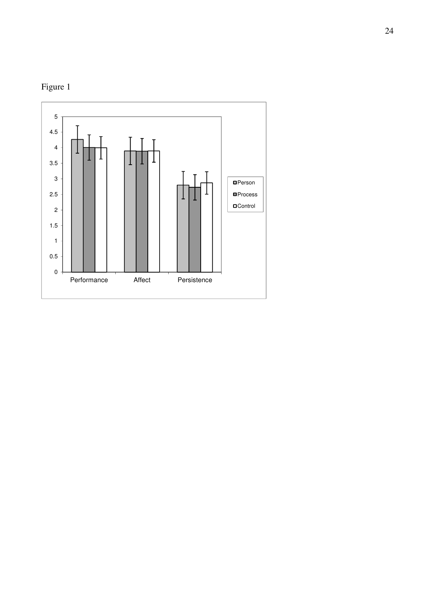

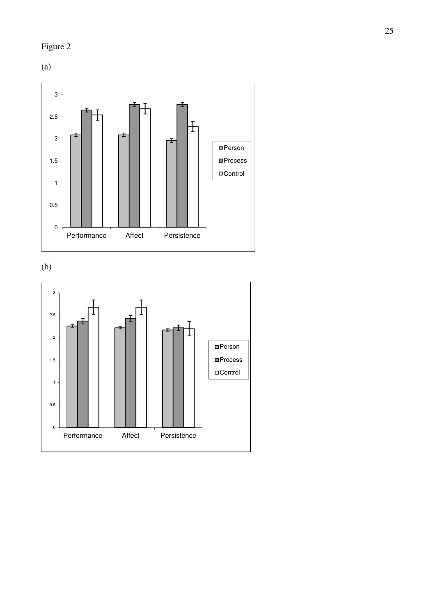# Figure 2

(a)



(b)

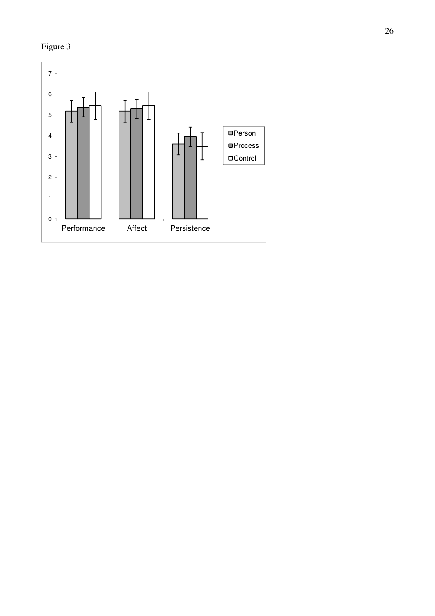